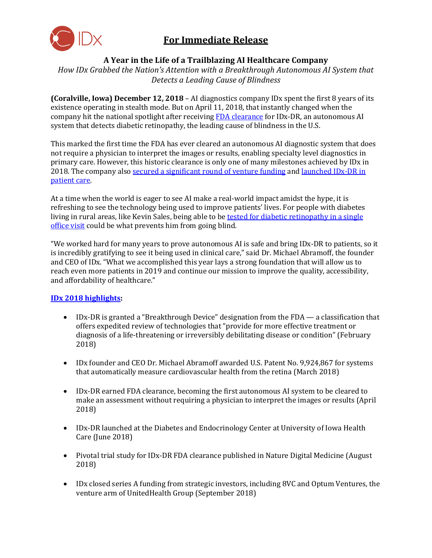

# **For Immediate Release**

# **A Year in the Life of a Trailblazing AI Healthcare Company**

*How IDx Grabbed the Nation's Attention with a Breakthrough Autonomous AI System that Detects a Leading Cause of Blindness*

**(Coralville, Iowa) December 12, 2018** – AI diagnostics company IDx spent the first 8 years of its existence operating in stealth mode. But on April 11, 2018, that instantly changed when the company hit the national spotlight after receiving [FDA clearance](https://www.fda.gov/newsevents/newsroom/pressannouncements/ucm604357.htm) for IDx-DR, an autonomous AI system that detects diabetic retinopathy, the leading cause of blindness in the U.S.

This marked the first time the FDA has ever cleared an autonomous AI diagnostic system that does not require a physician to interpret the images or results, enabling specialty level diagnostics in primary care. However, this historic clearance is only one of many milestones achieved by IDx in 2018. The company also [secured a significant round of venture funding](https://www.prnewswire.com/news-releases/ai-diagnostics-company-idx-secures-significant-funding-from-8vc-optum-ventures-300718104.html) and launched IDx-DR in [patient care.](https://www.prnewswire.com/news-releases/university-of-iowa-health-care-first-to-adopt-idx-dr-in-a-diabetes-care-setting-300672070.html)

At a time when the world is eager to see AI make a real-world impact amidst the hype, it is refreshing to see the technology being used to improve patients' lives. For people with diabetes living in rural areas, like Kevin Sales, being able to be tested for diabetic retinopathy in a single [office visit](https://qz.com/1371580/can-ai-deliver-on-its-promise-to-close-the-gap-between-rural-and-urban-health-care/) could be what prevents him from going blind.

"We worked hard for many years to prove autonomous AI is safe and bring IDx-DR to patients, so it is incredibly gratifying to see it being used in clinical care," said Dr. Michael Abramoff, the founder and CEO of IDx. "What we accomplished this year lays a strong foundation that will allow us to reach even more patients in 2019 and continue our mission to improve the quality, accessibility, and affordability of healthcare."

# **[IDx 2018 highlights:](https://www.eyediagnosis.net/blog-news-all)**

- IDx-DR is granted a "Breakthrough Device" designation from the FDA a classification that offers expedited review of technologies that "provide for more effective treatment or diagnosis of a life-threatening or irreversibly debilitating disease or condition" (February 2018)
- IDx founder and CEO Dr. Michael Abramoff awarded U.S. Patent No. 9,924,867 for systems that automatically measure cardiovascular health from the retina (March 2018)
- IDx-DR earned FDA clearance, becoming the first autonomous AI system to be cleared to make an assessment without requiring a physician to interpret the images or results (April 2018)
- IDx-DR launched at the Diabetes and Endocrinology Center at University of Iowa Health Care (June 2018)
- Pivotal trial study for IDx-DR FDA clearance published in Nature Digital Medicine (August 2018)
- IDx closed series A funding from strategic investors, including 8VC and Optum Ventures, the venture arm of UnitedHealth Group (September 2018)